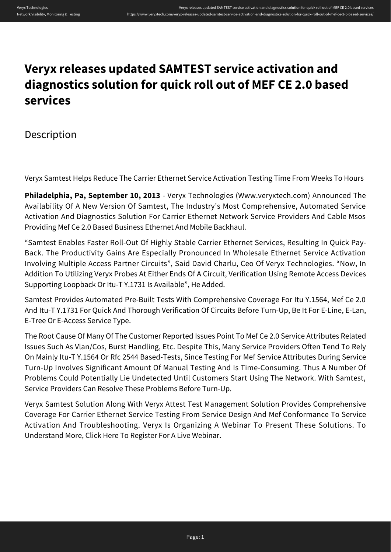## **Veryx releases updated SAMTEST service activation and diagnostics solution for quick roll out of MEF CE 2.0 based services**

Description

Veryx Samtest Helps Reduce The Carrier Ethernet Service Activation Testing Time From Weeks To Hours

**Philadelphia, Pa, September 10, 2013** - Veryx Technologies (Www.veryxtech.com) Announced The Availability Of A New Version Of Samtest, The Industry's Most Comprehensive, Automated Service Activation And Diagnostics Solution For Carrier Ethernet Network Service Providers And Cable Msos Providing Mef Ce 2.0 Based Business Ethernet And Mobile Backhaul.

"Samtest Enables Faster Roll-Out Of Highly Stable Carrier Ethernet Services, Resulting In Quick Pay-Back. The Productivity Gains Are Especially Pronounced In Wholesale Ethernet Service Activation Involving Multiple Access Partner Circuits", Said David Charlu, Ceo Of Veryx Technologies. "Now, In Addition To Utilizing Veryx Probes At Either Ends Of A Circuit, Verification Using Remote Access Devices Supporting Loopback Or Itu-T Y.1731 Is Available", He Added.

Samtest Provides Automated Pre-Built Tests With Comprehensive Coverage For Itu Y.1564, Mef Ce 2.0 And Itu-T Y.1731 For Quick And Thorough Verification Of Circuits Before Turn-Up, Be It For E-Line, E-Lan, E-Tree Or E-Access Service Type.

The Root Cause Of Many Of The Customer Reported Issues Point To Mef Ce 2.0 Service Attributes Related Issues Such As Vlan/Cos, Burst Handling, Etc. Despite This, Many Service Providers Often Tend To Rely On Mainly Itu-T Y.1564 Or Rfc 2544 Based-Tests, Since Testing For Mef Service Attributes During Service Turn-Up Involves Significant Amount Of Manual Testing And Is Time-Consuming. Thus A Number Of Problems Could Potentially Lie Undetected Until Customers Start Using The Network. With Samtest, Service Providers Can Resolve These Problems Before Turn-Up.

Veryx Samtest Solution Along With Veryx Attest Test Management Solution Provides Comprehensive Coverage For Carrier Ethernet Service Testing From Service Design And Mef Conformance To Service Activation And Troubleshooting. Veryx Is Organizing A Webinar To Present These Solutions. To Understand More, Click Here To Register For A Live Webinar.